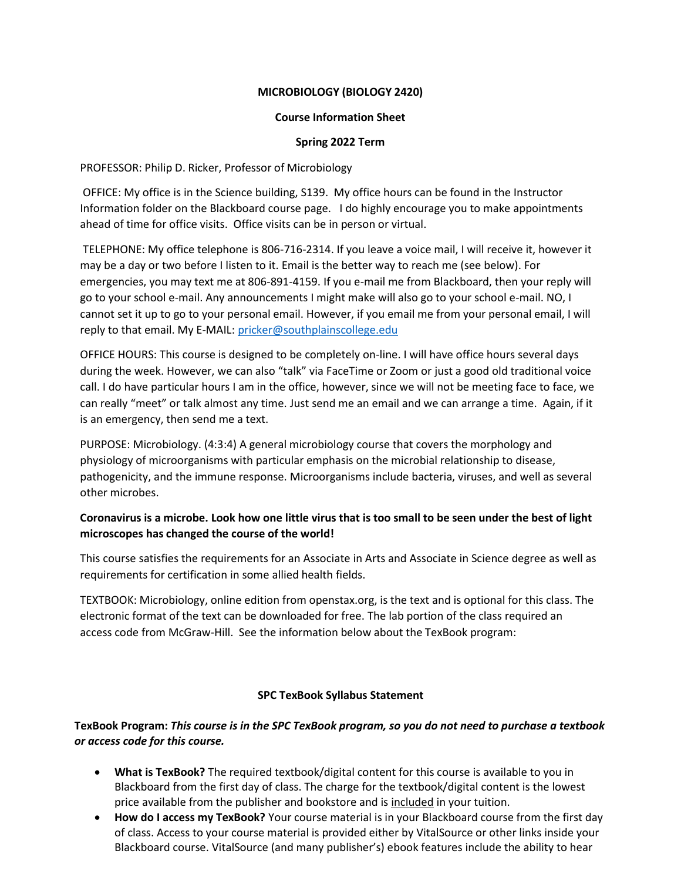## **MICROBIOLOGY (BIOLOGY 2420)**

#### **Course Information Sheet**

#### **Spring 2022 Term**

PROFESSOR: Philip D. Ricker, Professor of Microbiology

OFFICE: My office is in the Science building, S139. My office hours can be found in the Instructor Information folder on the Blackboard course page. I do highly encourage you to make appointments ahead of time for office visits. Office visits can be in person or virtual.

TELEPHONE: My office telephone is 806-716-2314. If you leave a voice mail, I will receive it, however it may be a day or two before I listen to it. Email is the better way to reach me (see below). For emergencies, you may text me at 806-891-4159. If you e-mail me from Blackboard, then your reply will go to your school e-mail. Any announcements I might make will also go to your school e-mail. NO, I cannot set it up to go to your personal email. However, if you email me from your personal email, I will reply to that email. My E-MAIL: [pricker@southplainscollege.edu](mailto:pricker@southplainscollege.edu)

OFFICE HOURS: This course is designed to be completely on-line. I will have office hours several days during the week. However, we can also "talk" via FaceTime or Zoom or just a good old traditional voice call. I do have particular hours I am in the office, however, since we will not be meeting face to face, we can really "meet" or talk almost any time. Just send me an email and we can arrange a time. Again, if it is an emergency, then send me a text.

PURPOSE: Microbiology. (4:3:4) A general microbiology course that covers the morphology and physiology of microorganisms with particular emphasis on the microbial relationship to disease, pathogenicity, and the immune response. Microorganisms include bacteria, viruses, and well as several other microbes.

# **Coronavirus is a microbe. Look how one little virus that is too small to be seen under the best of light microscopes has changed the course of the world!**

This course satisfies the requirements for an Associate in Arts and Associate in Science degree as well as requirements for certification in some allied health fields.

TEXTBOOK: Microbiology, online edition from openstax.org, is the text and is optional for this class. The electronic format of the text can be downloaded for free. The lab portion of the class required an access code from McGraw-Hill. See the information below about the TexBook program:

### **SPC TexBook Syllabus Statement**

**TexBook Program:** *This course is in the SPC TexBook program, so you do not need to purchase a textbook or access code for this course.*

- **What is TexBook?** The required textbook/digital content for this course is available to you in Blackboard from the first day of class. The charge for the textbook/digital content is the lowest price available from the publisher and bookstore and is included in your tuition.
- **How do I access my TexBook?** Your course material is in your Blackboard course from the first day of class. Access to your course material is provided either by VitalSource or other links inside your Blackboard course. VitalSource (and many publisher's) ebook features include the ability to hear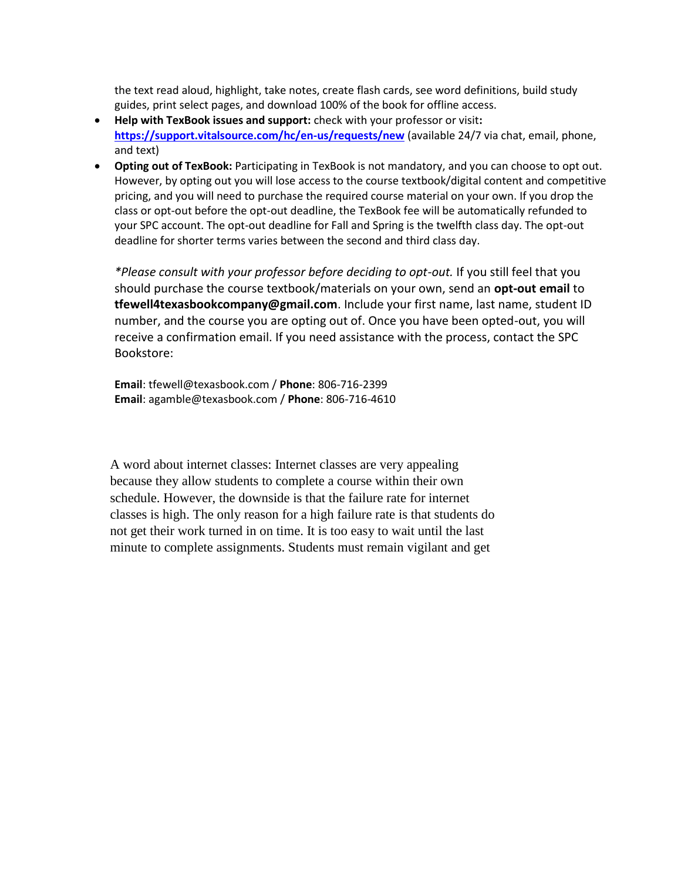the text read aloud, highlight, take notes, create flash cards, see word definitions, build study guides, print select pages, and download 100% of the book for offline access.

- **Help with TexBook issues and support:** check with your professor or visit**: <https://support.vitalsource.com/hc/en-us/requests/new>** (available 24/7 via chat, email, phone, and text)
- **Opting out of TexBook:** Participating in TexBook is not mandatory, and you can choose to opt out. However, by opting out you will lose access to the course textbook/digital content and competitive pricing, and you will need to purchase the required course material on your own. If you drop the class or opt-out before the opt-out deadline, the TexBook fee will be automatically refunded to your SPC account. The opt-out deadline for Fall and Spring is the twelfth class day. The opt-out deadline for shorter terms varies between the second and third class day.

*\*Please consult with your professor before deciding to opt-out.* If you still feel that you should purchase the course textbook/materials on your own, send an **opt-out email** to **tfewell4texasbookcompany@gmail.com**. Include your first name, last name, student ID number, and the course you are opting out of. Once you have been opted-out, you will receive a confirmation email. If you need assistance with the process, contact the SPC Bookstore:

**Email**: tfewell@texasbook.com / **Phone**: 806-716-2399 **Email**: agamble@texasbook.com / **Phone**: 806-716-4610

A word about internet classes: Internet classes are very appealing because they allow students to complete a course within their own schedule. However, the downside is that the failure rate for internet classes is high. The only reason for a high failure rate is that students do not get their work turned in on time. It is too easy to wait until the last minute to complete assignments. Students must remain vigilant and get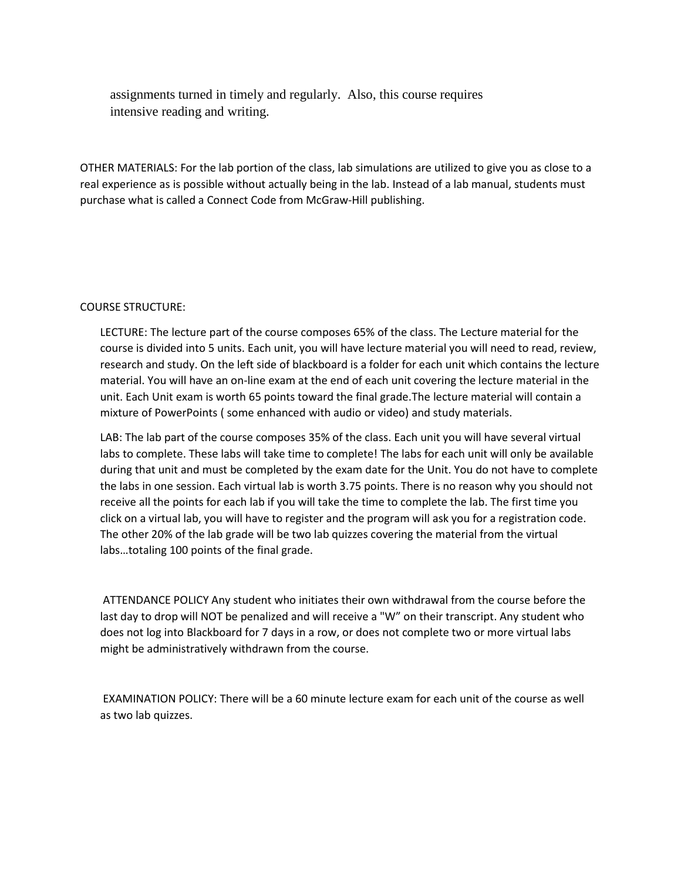assignments turned in timely and regularly. Also, this course requires intensive reading and writing.

OTHER MATERIALS: For the lab portion of the class, lab simulations are utilized to give you as close to a real experience as is possible without actually being in the lab. Instead of a lab manual, students must purchase what is called a Connect Code from McGraw-Hill publishing.

### COURSE STRUCTURE:

LECTURE: The lecture part of the course composes 65% of the class. The Lecture material for the course is divided into 5 units. Each unit, you will have lecture material you will need to read, review, research and study. On the left side of blackboard is a folder for each unit which contains the lecture material. You will have an on-line exam at the end of each unit covering the lecture material in the unit. Each Unit exam is worth 65 points toward the final grade.The lecture material will contain a mixture of PowerPoints ( some enhanced with audio or video) and study materials.

LAB: The lab part of the course composes 35% of the class. Each unit you will have several virtual labs to complete. These labs will take time to complete! The labs for each unit will only be available during that unit and must be completed by the exam date for the Unit. You do not have to complete the labs in one session. Each virtual lab is worth 3.75 points. There is no reason why you should not receive all the points for each lab if you will take the time to complete the lab. The first time you click on a virtual lab, you will have to register and the program will ask you for a registration code. The other 20% of the lab grade will be two lab quizzes covering the material from the virtual labs…totaling 100 points of the final grade.

ATTENDANCE POLICY Any student who initiates their own withdrawal from the course before the last day to drop will NOT be penalized and will receive a "W" on their transcript. Any student who does not log into Blackboard for 7 days in a row, or does not complete two or more virtual labs might be administratively withdrawn from the course.

EXAMINATION POLICY: There will be a 60 minute lecture exam for each unit of the course as well as two lab quizzes.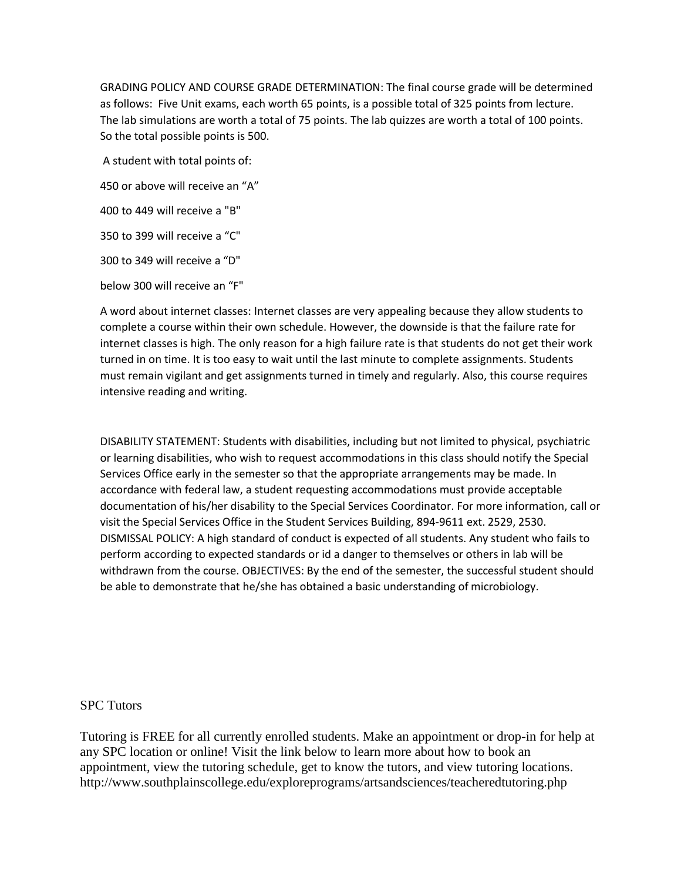GRADING POLICY AND COURSE GRADE DETERMINATION: The final course grade will be determined as follows: Five Unit exams, each worth 65 points, is a possible total of 325 points from lecture. The lab simulations are worth a total of 75 points. The lab quizzes are worth a total of 100 points. So the total possible points is 500.

A student with total points of:

450 or above will receive an "A"

400 to 449 will receive a "B"

350 to 399 will receive a "C"

300 to 349 will receive a "D"

below 300 will receive an "F"

A word about internet classes: Internet classes are very appealing because they allow students to complete a course within their own schedule. However, the downside is that the failure rate for internet classes is high. The only reason for a high failure rate is that students do not get their work turned in on time. It is too easy to wait until the last minute to complete assignments. Students must remain vigilant and get assignments turned in timely and regularly. Also, this course requires intensive reading and writing.

DISABILITY STATEMENT: Students with disabilities, including but not limited to physical, psychiatric or learning disabilities, who wish to request accommodations in this class should notify the Special Services Office early in the semester so that the appropriate arrangements may be made. In accordance with federal law, a student requesting accommodations must provide acceptable documentation of his/her disability to the Special Services Coordinator. For more information, call or visit the Special Services Office in the Student Services Building, 894-9611 ext. 2529, 2530. DISMISSAL POLICY: A high standard of conduct is expected of all students. Any student who fails to perform according to expected standards or id a danger to themselves or others in lab will be withdrawn from the course. OBJECTIVES: By the end of the semester, the successful student should be able to demonstrate that he/she has obtained a basic understanding of microbiology.

### SPC Tutors

Tutoring is FREE for all currently enrolled students. Make an appointment or drop-in for help at any SPC location or online! Visit the link below to learn more about how to book an appointment, view the tutoring schedule, get to know the tutors, and view tutoring locations. <http://www.southplainscollege.edu/exploreprograms/artsandsciences/teacheredtutoring.php>